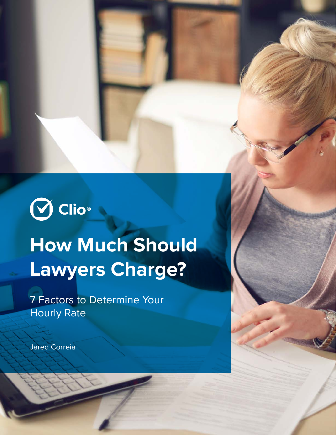$\bigcirc$  Clio $^\circ$ 

# **How Much Should Lawyers Charge?**

How Much Should Lawyers Charge? 1

7 Factors to Determine Your Hourly Rate

Jared Correia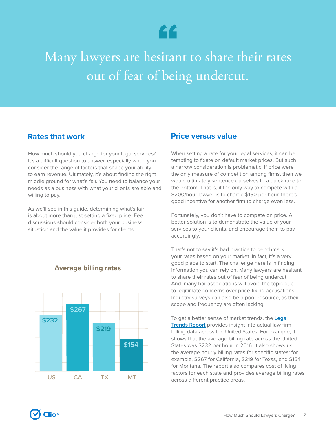## LL

Many lawyers are hesitant to share their rates out of fear of being undercut.

How much should you charge for your legal services? It's a difficult question to answer, especially when you consider the range of factors that shape your ability to earn revenue. Ultimately, it's about finding the right middle ground for what's fair. You need to balance your needs as a business with what your clients are able and willing to pay.

As we'll see in this guide, determining what's fair is about more than just setting a fixed price. Fee discussions should consider both your business situation and the value it provides for clients.

#### **Average billing rates**



#### **Rates that work Price versus value**

When setting a rate for your legal services, it can be tempting to fixate on default market prices. But such a narrow consideration is problematic. If price were the only measure of competition among firms, then we would ultimately sentence ourselves to a quick race to the bottom. That is, if the only way to compete with a \$200/hour lawyer is to charge \$150 per hour, there's good incentive for another firm to charge even less.

Fortunately, you don't have to compete on price. A better solution is to demonstrate the value of your services to your clients, and encourage them to pay accordingly.

That's not to say it's bad practice to benchmark your rates based on your market. In fact, it's a very good place to start. The challenge here is in finding information you can rely on. Many lawyers are hesitant to share their rates out of fear of being undercut. And, many bar associations will avoid the topic due to legitimate concerns over price-fixing accusations. Industry surveys can also be a poor resource, as their scope and frequency are often lacking.

To get a better sense of market trends, the **[Legal](https://www.clio.com/2016-legal-trends-report/)  [Trends Report](https://www.clio.com/2016-legal-trends-report/)** provides insight into actual law firm billing data across the United States. For example, it shows that the average billing rate across the United States was \$232 per hour in 2016. It also shows us the average hourly billing rates for specific states: for example, \$267 for California, \$219 for Texas, and \$154 for Montana. The report also compares cost of living factors for each state and provides average billing rates across different practice areas.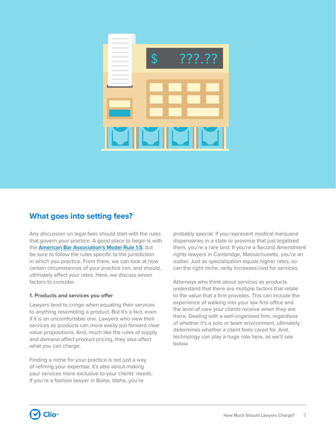

#### **What goes into setting fees?**

Any discussion on legal fees should start with the rules that govern your practice. A good place to begin is with the **[American Bar Association's Model Rule 1.5](http://www.americanbar.org/groups/professional_responsibility/publications/model_rules_of_professional_conduct/rule_1_5_fees.html)**, but be sure to follow the rules specific to the jurisdiction in which you practice. From there, we can look at how certain circumstances of your practice can, and should, ultimately affect your rates. Here, we discuss seven factors to consider.

#### **1. Products and services you offer**

Lawyers tend to cringe when equating their services to anything resembling a product. But it's a fact, even if it is an uncomfortable one. Lawyers who view their services as products can more easily put forward clear value propositions. And, much like the rules of supply and demand affect product pricing, they also affect what you can charge.

Finding a niche for your practice is not just a way of refining your expertise, it's also about making your services more exclusive to your clients' needs. If you're a fashion lawyer in Boise, Idaho, you're

probably special. If you represent medical marijuana dispensaries in a state or province that just legalized them, you're a rare bird. If you're a Second Amendment rights lawyers in Cambridge, Massachusetts, you're an outlier. Just as specialization equals higher rates, so can the right niche; rarity increases cost for services.

Attorneys who think about services as products understand that there are multiple factors that relate to the value that a firm provides. This can include the experience of walking into your law firm office and the level of care your clients receive when they are there. Dealing with a well-organized firm, regardless of whether it's a solo or team environment, ultimately determines whether a client feels cared for. And, technology can play a huge role here, as we'll see below

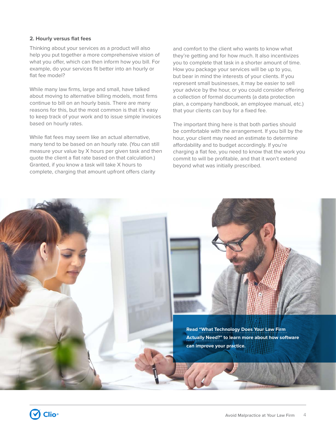#### **2. Hourly versus flat fees**

Thinking about your services as a product will also help you put together a more comprehensive vision of what you offer, which can then inform how you bill. For example, do your services fit better into an hourly or flat fee model?

While many law firms, large and small, have talked about moving to alternative billing models, most firms continue to bill on an hourly basis. There are many reasons for this, but the most common is that it's easy to keep track of your work and to issue simple invoices based on hourly rates.

While flat fees may seem like an actual alternative, many tend to be based on an hourly rate. (You can still measure your value by X hours per given task and then quote the client a flat rate based on that calculation.) Granted, if you know a task will take X hours to complete, charging that amount upfront offers clarity

and comfort to the client who wants to know what they're getting and for how much. It also incentivizes you to complete that task in a shorter amount of time. How you package your services will be up to you, but bear in mind the interests of your clients. If you represent small businesses, it may be easier to sell your advice by the hour, or you could consider offering a collection of formal documents (a data protection plan, a company handbook, an employee manual, etc.) that your clients can buy for a fixed fee.

The important thing here is that both parties should be comfortable with the arrangement. If you bill by the hour, your client may need an estimate to determine affordability and to budget accordingly. If you're charging a flat fee, you need to know that the work you commit to will be profitable, and that it won't extend beyond what was initially prescribed.

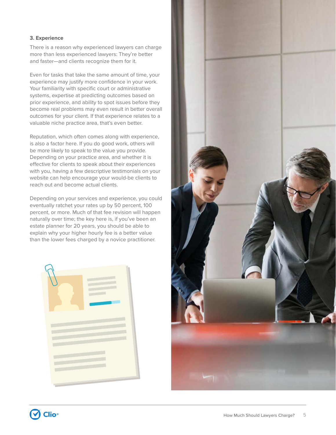#### **3. Experience**

There is a reason why experienced lawyers can charge more than less experienced lawyers: They're better and faster—and clients recognize them for it.

Even for tasks that take the same amount of time, your experience may justify more confidence in your work. Your familiarity with specific court or administrative systems, expertise at predicting outcomes based on prior experience, and ability to spot issues before they become real problems may even result in better overall outcomes for your client. If that experience relates to a valuable niche practice area, that's even better.

Reputation, which often comes along with experience, is also a factor here. If you do good work, others will be more likely to speak to the value you provide. Depending on your practice area, and whether it is effective for clients to speak about their experiences with you, having a few descriptive testimonials on your website can help encourage your would-be clients to reach out and become actual clients.

Depending on your services and experience, you could eventually ratchet your rates up by 50 percent, 100 percent, or more. Much of that fee revision will happen naturally over time; the key here is, if you've been an estate planner for 20 years, you should be able to explain why your higher hourly fee is a better value than the lower fees charged by a novice practitioner.

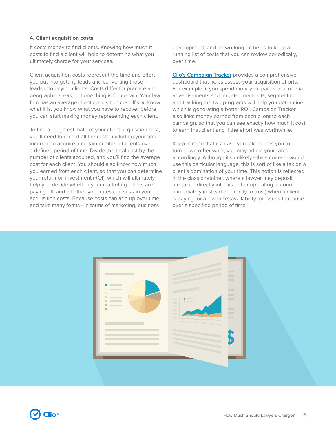#### **4. Client acquisition costs**

It costs money to find clients. Knowing how much it costs to find a client will help to determine what you ultimately charge for your services.

Client acquisition costs represent the time and effort you put into getting leads and converting those leads into paying clients. Costs differ for practice and geographic areas, but one thing is for certain: Your law firm has an average client acquisition cost. If you know what it is, you know what you have to recover before you can start making money representing each client.

To find a rough estimate of your client acquisition cost, you'll need to record all the costs, including your time, incurred to acquire a certain number of clients over a defined period of time. Divide the total cost by the number of clients acquired, and you'll find the average cost for each client. You should also know how much you earned from each client, so that you can determine your return on investment (ROI), which will ultimately help you decide whether your marketing efforts are paying off, and whether your rates can sustain your acquisition costs. Because costs can add up over time, and take many forms—in terms of marketing, business

development, and networking—it helps to keep a running list of costs that you can review periodically, over time.

**[Clio's Campaign Tracker](https://support.clio.com/hc/en-us/sections/202503978)** provides a comprehensive dashboard that helps assess your acquisition efforts. For example, if you spend money on paid social media advertisements and targeted mail-outs, segmenting and tracking the two programs will help you determine which is generating a better ROI. Campaign Tracker also links money earned from each client to each campaign, so that you can see exactly how much it cost to earn that client and if the effort was worthwhile.

Keep in mind that if a case you take forces you to turn down other work, you may adjust your rates accordingly. Although it's unlikely ethics counsel would use this particular language, this is sort of like a tax on a client's domination of your time. This notion is reflected in the classic retainer, where a lawyer may deposit a retainer directly into his or her operating account immediately (instead of directly to trust) when a client is paying for a law firm's availability for issues that arise over a specified period of time.



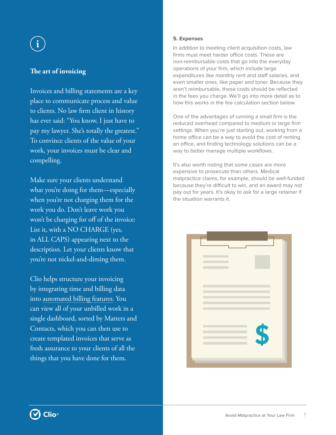#### **The art of invoicing**

Invoices and billing statements are a key place to communicate process and value to clients. No law firm client in history has ever said: "You know, I just have to pay my lawyer. She's totally the greatest." To convince clients of the value of your work, your invoices must be clear and compelling.

Make sure your clients understand what you're doing for them—especially when you're not charging them for the work you do. Don't leave work you won't be charging for off of the invoice: List it, with a NO CHARGE (yes, in ALL CAPS) appearing next to the description. Let your clients know that you're not nickel-and-diming them.

Clio helps structure your invoicing by integrating time and billing data into [automated billing features](https://support.clio.com/hc/en-us/articles/203300074-Creating-a-Bill-Summary-Letter-with-Document-Automation). You can view all of your unbilled work in a single dashboard, sorted by Matters and Contacts, which you can then use to create templated invoices that serve as fresh assurance to your clients of all the things that you have done for them.

#### **5. Expenses**

In addition to meeting client acquisition costs, law firms must meet harder office costs. These are non-reimbursable costs that go into the everyday operations of your firm, which include large expenditures like monthly rent and staff salaries, and even smaller ones, like paper and toner. Because they aren't reimbursable, these costs should be reflected in the fees you charge. We'll go into more detail as to how this works in the fee calculation section below.

One of the advantages of running a small firm is the reduced overhead compared to medium or large firm settings. When you're just starting out, working from a home office can be a way to avoid the cost of renting an office, and finding technology solutions can be a way to better manage multiple workflows.

It's also worth noting that some cases are more expensive to prosecute than others. Medical malpractice claims, for example, should be well-funded because they're difficult to win, and an award may not pay out for years. It's okay to ask for a large retainer if the situation warrants it.

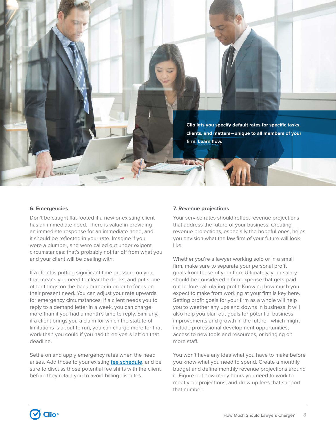**Clio lets you specify default rates for specific tasks, clients, and matters—unique to all members of your firm. [Learn how.](https://support.clio.com/hc/en-us/sections/201781377-Getting-Started-Settings-Rates)**

#### **6. Emergencies**

Don't be caught flat-footed if a new or existing client has an immediate need. There is value in providing an immediate response for an immediate need, and it should be reflected in your rate. Imagine if you were a plumber, and were called out under exigent circumstances: that's probably not far off from what you and your client will be dealing with.

If a client is putting significant time pressure on you, that means you need to clear the decks, and put some other things on the back burner in order to focus on their present need. You can adjust your rate upwards for emergency circumstances. If a client needs you to reply to a demand letter in a week, you can charge more than if you had a month's time to reply. Similarly, if a client brings you a claim for which the statute of limitations is about to run, you can charge more for that work than you could if you had three years left on that deadline.

Settle on and apply emergency rates when the need arises. Add those to your existing **[fee schedule](https://www.attorneyatwork.com/utility-of-the-law-firm-fee-schedule/)**, and be sure to discuss those potential fee shifts with the client before they retain you to avoid billing disputes.

#### **7. Revenue projections**

Your service rates should reflect revenue projections that address the future of your business. Creating revenue projections, especially the hopeful ones, helps you envision what the law firm of your future will look like.

Whether you're a lawyer working solo or in a small firm, make sure to separate your personal profit goals from those of your firm. Ultimately, your salary should be considered a firm expense that gets paid out before calculating profit. Knowing how much you expect to make from working at your firm is key here. Setting profit goals for your firm as a whole will help you to weather any ups and downs in business; it will also help you plan out goals for potential business improvements and growth in the future—which might include professional development opportunities, access to new tools and resources, or bringing on more staff.

You won't have any idea what you have to make before you know what you need to spend. Create a monthly budget and define monthly revenue projections around it. Figure out how many hours you need to work to meet your projections, and draw up fees that support that number.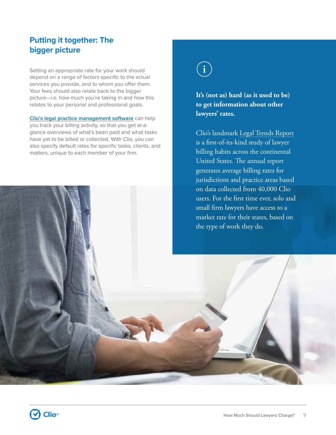### **Putting it together: The bigger picture**

Setting an appropriate rate for your work should depend on a range of factors specific to the actual services you provide, and to whom you offer them. Your fees should also relate back to the bigger picture—i.e. how much you're taking in and how this relates to your personal and professional goals.

**[Clio's legal practice management software](https://www.clio.com/)** can help you track your billing activity, so that you get at-aglance overviews of what's been paid and what tasks have yet to be billed or collected. With Clio, you can also specify default rates for specific tasks, clients, and matters, unique to each member of your firm.

## $\mathbf{i}$

**It's (not as) hard (as it used to be) to get information about other lawyers' rates.**

Clio's landmark [Legal Trends Report](https://www.clio.com/2016-legal-trends-report/) is a first-of-its-kind study of lawyer billing habits across the continental United States. The annual report generates average billing rates for jurisdictions and practice areas based on data collected from 40,000 Clio users. For the first time ever, solo and small firm lawyers have access to a market rate for their states, based on the type of work they do.

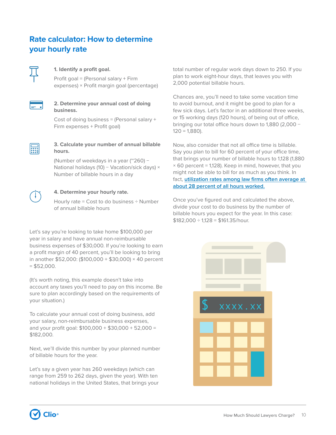### **Rate calculator: How to determine your hourly rate**



#### **1. Identify a profit goal.**

Profit goal = (Personal salary + Firm expenses) × Profit margin goal (percentage)

#### **2. Determine your annual cost of doing business.**

Cost of doing business = (Personal salary + Firm expenses + Profit goal)



#### **3. Calculate your number of annual billable hours.**

(Number of weekdays in a year (~260) − National holidays (10) − Vacation/sick days) × Number of billable hours in a day



#### **4. Determine your hourly rate.**

Hourly rate = Cost to do business ÷ Number of annual billable hours

Let's say you're looking to take home \$100,000 per year in salary and have annual non-reimbursable business expenses of \$30,000. If you're looking to earn a profit margin of 40 percent, you'll be looking to bring in another \$52,000: (\$100,000 + \$30,000) × 40 percent  $= $52,000.$ 

(It's worth noting, this example doesn't take into account any taxes you'll need to pay on this income. Be sure to plan accordingly based on the requirements of your situation.)

To calculate your annual cost of doing business, add your salary, non-reimbursable business expenses, and your profit goal: \$100,000 + \$30,000 + 52,000 = \$182,000.

Next, we'll divide this number by your planned number of billable hours for the year.

Let's say a given year has 260 weekdays (which can range from 259 to 262 days, given the year). With ten national holidays in the United States, that brings your total number of regular work days down to 250. If you plan to work eight-hour days, that leaves you with 2,000 potential billable hours.

Chances are, you'll need to take some vacation time to avoid burnout, and it might be good to plan for a few sick days. Let's factor in an additional three weeks, or 15 working days (120 hours), of being out of office, bringing our total office hours down to 1,880 (2,000 −  $120 = 1,880$ .

Now, also consider that not all office time is billable. Say you plan to bill for 60 percent of your office time, that brings your number of billable hours to 1,128 (1,880  $\times$  60 percent = 1,128). Keep in mind, however, that you might not be able to bill for as much as you think. In fact, **[utilization rates among law firms often average at](https://www.clio.com/blog/law-firm-kpis-how-well-law-firm-doing/)  [about 28 percent of all hours worked.](https://www.clio.com/blog/law-firm-kpis-how-well-law-firm-doing/)**

Once you've figured out and calculated the above, divide your cost to do business by the number of billable hours you expect for the year. In this case:  $$182,000 \div 1,128 = $161.35/h$ our.